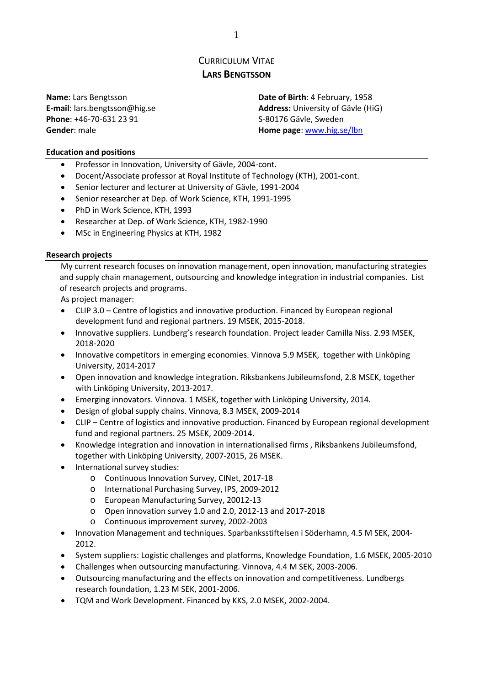# CURRICULUM VITAE **LARS BENGTSSON**

**Phone**: +46-70-631 23 91 S-80176 Gävle, Sweden **Gender**: male **Home page**: [www.hig.se/lbn](http://www.hig.se/lbn)

**Name**: Lars Bengtsson **Date of Birth**: 4 February, 1958 **E-mail**: lars.bengtsson@hig.se **Address:** University of Gävle (HiG)

#### **Education and positions**

- Professor in Innovation, University of Gävle, 2004-cont.
- Docent/Associate professor at Royal Institute of Technology (KTH), 2001-cont.
- Senior lecturer and lecturer at University of Gävle, 1991-2004
- Senior researcher at Dep. of Work Science, KTH, 1991-1995
- PhD in Work Science, KTH, 1993
- Researcher at Dep. of Work Science, KTH, 1982-1990
- MSc in Engineering Physics at KTH, 1982

#### **Research projects**

My current research focuses on innovation management, open innovation, manufacturing strategies and supply chain management, outsourcing and knowledge integration in industrial companies. List of research projects and programs.

As project manager:

- CLIP 3.0 Centre of logistics and innovative production. Financed by European regional development fund and regional partners. 19 MSEK, 2015-2018.
- Innovative suppliers. Lundberg's research foundation. Project leader Camilla Niss. 2.93 MSEK, 2018-2020
- Innovative competitors in emerging economies. Vinnova 5.9 MSEK, together with Linköping University, 2014-2017
- Open innovation and knowledge integration. Riksbankens Jubileumsfond, 2.8 MSEK, together with Linköping University, 2013-2017.
- Emerging innovators. Vinnova. 1 MSEK, together with Linköping University, 2014.
- Design of global supply chains. Vinnova, 8.3 MSEK, 2009-2014
- CLIP Centre of logistics and innovative production. Financed by European regional development fund and regional partners. 25 MSEK, 2009-2014.
- Knowledge integration and innovation in internationalised firms , Riksbankens Jubileumsfond, together with Linköping University, 2007-2015, 26 MSEK.
- International survey studies:
	- o Continuous Innovation Survey, CINet, 2017-18
	- o International Purchasing Survey, IPS, 2009-2012
	- o European Manufacturing Survey, 20012-13
	- o Open innovation survey 1.0 and 2.0, 2012-13 and 2017-2018
	- o Continuous improvement survey, 2002-2003
- Innovation Management and techniques. Sparbanksstiftelsen i Söderhamn, 4.5 M SEK, 2004- 2012.
- System suppliers: Logistic challenges and platforms, Knowledge Foundation, 1.6 MSEK, 2005-2010
- Challenges when outsourcing manufacturing. Vinnova, 4.4 M SEK, 2003-2006.
- Outsourcing manufacturing and the effects on innovation and competitiveness. Lundbergs research foundation, 1.23 M SEK, 2001-2006.
- TQM and Work Development. Financed by KKS, 2.0 MSEK, 2002-2004.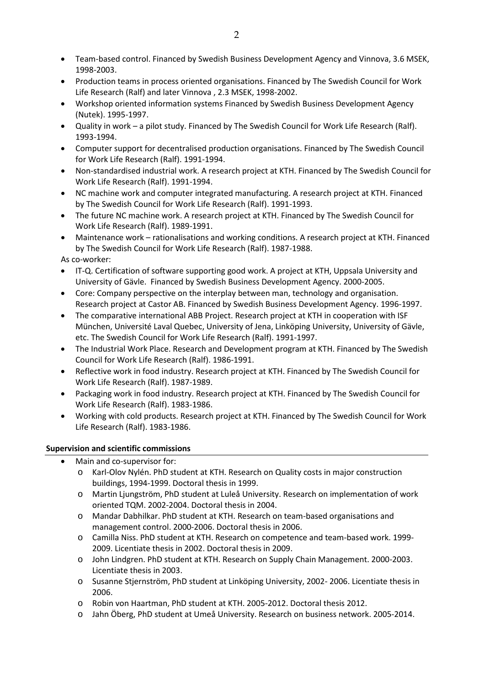- Team-based control. Financed by Swedish Business Development Agency and Vinnova, 3.6 MSEK, 1998-2003.
- Production teams in process oriented organisations. Financed by The Swedish Council for Work Life Research (Ralf) and later Vinnova , 2.3 MSEK, 1998-2002.
- Workshop oriented information systems Financed by Swedish Business Development Agency (Nutek). 1995-1997.
- Quality in work a pilot study. Financed by The Swedish Council for Work Life Research (Ralf). 1993-1994.
- Computer support for decentralised production organisations. Financed by The Swedish Council for Work Life Research (Ralf). 1991-1994.
- Non-standardised industrial work. A research project at KTH. Financed by The Swedish Council for Work Life Research (Ralf). 1991-1994.
- NC machine work and computer integrated manufacturing. A research project at KTH. Financed by The Swedish Council for Work Life Research (Ralf). 1991-1993.
- The future NC machine work. A research project at KTH. Financed by The Swedish Council for Work Life Research (Ralf). 1989-1991.
- Maintenance work rationalisations and working conditions. A research project at KTH. Financed by The Swedish Council for Work Life Research (Ralf). 1987-1988.
- As co-worker:
- IT-Q. Certification of software supporting good work. A project at KTH, Uppsala University and University of Gävle. Financed by Swedish Business Development Agency. 2000-2005.
- Core: Company perspective on the interplay between man, technology and organisation. Research project at Castor AB. Financed by Swedish Business Development Agency. 1996-1997.
- The comparative international ABB Project. Research project at KTH in cooperation with ISF München, Université Laval Quebec, University of Jena, Linköping University, University of Gävle, etc. The Swedish Council for Work Life Research (Ralf). 1991-1997.
- The Industrial Work Place. Research and Development program at KTH. Financed by The Swedish Council for Work Life Research (Ralf). 1986-1991.
- Reflective work in food industry. Research project at KTH. Financed by The Swedish Council for Work Life Research (Ralf). 1987-1989.
- Packaging work in food industry. Research project at KTH. Financed by The Swedish Council for Work Life Research (Ralf). 1983-1986.
- Working with cold products. Research project at KTH. Financed by The Swedish Council for Work Life Research (Ralf). 1983-1986.

# **Supervision and scientific commissions**

- Main and co-supervisor for:
	- o Karl-Olov Nylén. PhD student at KTH. Research on Quality costs in major construction buildings, 1994-1999. Doctoral thesis in 1999.
	- o Martin Ljungström, PhD student at Luleå University. Research on implementation of work oriented TQM. 2002-2004. Doctoral thesis in 2004.
	- o Mandar Dabhilkar. PhD student at KTH. Research on team-based organisations and management control. 2000-2006. Doctoral thesis in 2006.
	- o Camilla Niss. PhD student at KTH. Research on competence and team-based work. 1999- 2009. Licentiate thesis in 2002. Doctoral thesis in 2009.
	- o John Lindgren. PhD student at KTH. Research on Supply Chain Management. 2000-2003. Licentiate thesis in 2003.
	- o Susanne Stjernström, PhD student at Linköping University, 2002- 2006. Licentiate thesis in 2006.
	- o Robin von Haartman, PhD student at KTH. 2005-2012. Doctoral thesis 2012.
	- o Jahn Öberg, PhD student at Umeå University. Research on business network. 2005-2014.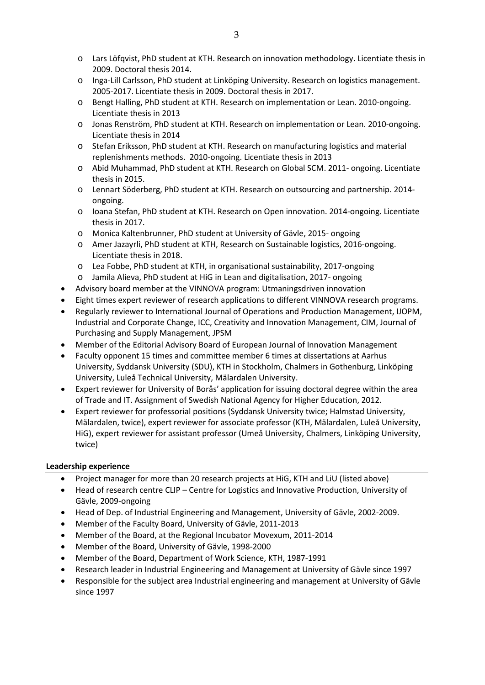- o Lars Löfqvist, PhD student at KTH. Research on innovation methodology. Licentiate thesis in 2009. Doctoral thesis 2014.
- o Inga-Lill Carlsson, PhD student at Linköping University. Research on logistics management. 2005-2017. Licentiate thesis in 2009. Doctoral thesis in 2017.
- o Bengt Halling, PhD student at KTH. Research on implementation or Lean. 2010-ongoing. Licentiate thesis in 2013
- o Jonas Renström, PhD student at KTH. Research on implementation or Lean. 2010-ongoing. Licentiate thesis in 2014
- o Stefan Eriksson, PhD student at KTH. Research on manufacturing logistics and material replenishments methods. 2010-ongoing. Licentiate thesis in 2013
- o Abid Muhammad, PhD student at KTH. Research on Global SCM. 2011- ongoing. Licentiate thesis in 2015.
- o Lennart Söderberg, PhD student at KTH. Research on outsourcing and partnership. 2014 ongoing.
- o Ioana Stefan, PhD student at KTH. Research on Open innovation. 2014-ongoing. Licentiate thesis in 2017.
- o Monica Kaltenbrunner, PhD student at University of Gävle, 2015- ongoing
- o Amer Jazayrli, PhD student at KTH, Research on Sustainable logistics, 2016-ongoing. Licentiate thesis in 2018.
- o Lea Fobbe, PhD student at KTH, in organisational sustainability, 2017-ongoing
- o Jamila Alieva, PhD student at HiG in Lean and digitalisation, 2017- ongoing
- Advisory board member at the VINNOVA program: Utmaningsdriven innovation
- Eight times expert reviewer of research applications to different VINNOVA research programs.
- Regularly reviewer to International Journal of Operations and Production Management, IJOPM, Industrial and Corporate Change, ICC, Creativity and Innovation Management, CIM, Journal of Purchasing and Supply Management, JPSM
- Member of the Editorial Advisory Board of European Journal of Innovation Management
- Faculty opponent 15 times and committee member 6 times at dissertations at Aarhus University, Syddansk University (SDU), KTH in Stockholm, Chalmers in Gothenburg, Linköping University, Luleå Technical University, Mälardalen University.
- Expert reviewer for University of Borås' application for issuing doctoral degree within the area of Trade and IT. Assignment of Swedish National Agency for Higher Education, 2012.
- Expert reviewer for professorial positions (Syddansk University twice; Halmstad University, Mälardalen, twice), expert reviewer for associate professor (KTH, Mälardalen, Luleå University, HiG), expert reviewer for assistant professor (Umeå University, Chalmers, Linköping University, twice)

# **Leadership experience**

- Project manager for more than 20 research projects at HiG, KTH and LiU (listed above)
- Head of research centre CLIP Centre for Logistics and Innovative Production, University of Gävle, 2009-ongoing
- Head of Dep. of Industrial Engineering and Management, University of Gävle, 2002-2009.
- Member of the Faculty Board, University of Gävle, 2011-2013
- Member of the Board, at the Regional Incubator Movexum, 2011-2014
- Member of the Board, University of Gävle, 1998-2000
- Member of the Board, Department of Work Science, KTH, 1987-1991
- Research leader in Industrial Engineering and Management at University of Gävle since 1997
- Responsible for the subject area Industrial engineering and management at University of Gävle since 1997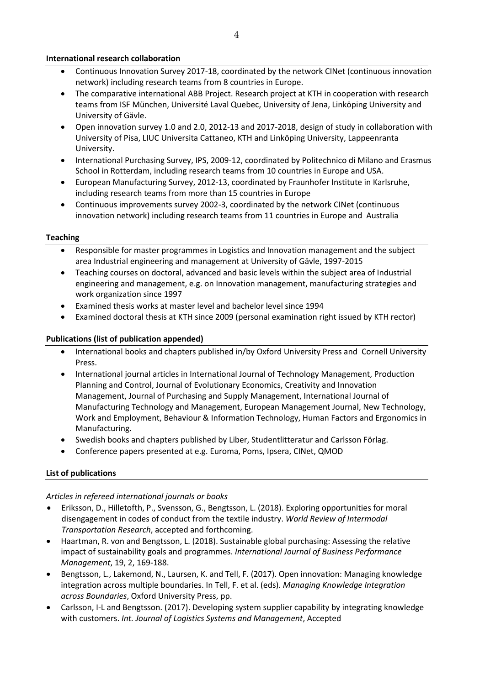#### **International research collaboration**

- Continuous Innovation Survey 2017-18, coordinated by the network CINet (continuous innovation network) including research teams from 8 countries in Europe.
- The comparative international ABB Project. Research project at KTH in cooperation with research teams from ISF München, Université Laval Quebec, University of Jena, Linköping University and University of Gävle.
- Open innovation survey 1.0 and 2.0, 2012-13 and 2017-2018, design of study in collaboration with University of Pisa, LIUC Universita Cattaneo, KTH and Linköping University, Lappeenranta University.
- International Purchasing Survey, IPS, 2009-12, coordinated by Politechnico di Milano and Erasmus School in Rotterdam, including research teams from 10 countries in Europe and USA.
- European Manufacturing Survey, 2012-13, coordinated by Fraunhofer Institute in Karlsruhe, including research teams from more than 15 countries in Europe
- Continuous improvements survey 2002-3, coordinated by the network CINet (continuous innovation network) including research teams from 11 countries in Europe and Australia

#### **Teaching**

- Responsible for master programmes in Logistics and Innovation management and the subject area Industrial engineering and management at University of Gävle, 1997-2015
- Teaching courses on doctoral, advanced and basic levels within the subject area of Industrial engineering and management, e.g. on Innovation management, manufacturing strategies and work organization since 1997
- Examined thesis works at master level and bachelor level since 1994
- Examined doctoral thesis at KTH since 2009 (personal examination right issued by KTH rector)

#### **Publications (list of publication appended)**

- International books and chapters published in/by Oxford University Press and Cornell University Press.
- International journal articles in International Journal of Technology Management, Production Planning and Control, Journal of Evolutionary Economics, Creativity and Innovation Management, Journal of Purchasing and Supply Management, International Journal of Manufacturing Technology and Management, European Management Journal, New Technology, Work and Employment, Behaviour & Information Technology, Human Factors and Ergonomics in Manufacturing.
- Swedish books and chapters published by Liber, Studentlitteratur and Carlsson Förlag.
- Conference papers presented at e.g. Euroma, Poms, Ipsera, CINet, QMOD

# **List of publications**

#### *Articles in refereed international journals or books*

- Eriksson, D., Hilletofth, P., Svensson, G., Bengtsson, L. (2018). Exploring opportunities for moral disengagement in codes of conduct from the textile industry. *World Review of Intermodal Transportation Research*, accepted and forthcoming.
- Haartman, R. von and Bengtsson, L. (2018). Sustainable global purchasing: Assessing the relative impact of sustainability goals and programmes. *International Journal of Business Performance Management*, 19, 2, 169-188.
- Bengtsson, L., Lakemond, N., Laursen, K. and Tell, F. (2017). Open innovation: Managing knowledge integration across multiple boundaries. In Tell, F. et al. (eds). *Managing Knowledge Integration across Boundaries*, Oxford University Press, pp.
- Carlsson, I-L and Bengtsson. (2017). Developing system supplier capability by integrating knowledge with customers. *Int. Journal of Logistics Systems and Management*, Accepted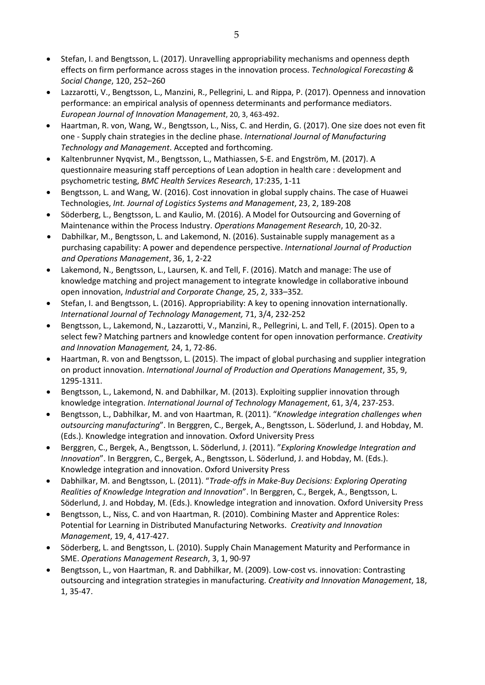- Stefan, I. and Bengtsson, L. (2017). Unravelling appropriability mechanisms and openness depth effects on firm performance across stages in the innovation process. *Technological Forecasting & Social Change*, 120, 252–260
- Lazzarotti, V., Bengtsson, L., Manzini, R., Pellegrini, L. and Rippa, P. (2017). Openness and innovation performance: an empirical analysis of openness determinants and performance mediators. *European Journal of Innovation Management*, 20, 3, 463-492.
- Haartman, R. von, Wang, W., Bengtsson, L., Niss, C. and Herdin, G. (2017). One size does not even fit one - Supply chain strategies in the decline phase. *International Journal of Manufacturing Technology and Management*. Accepted and forthcoming.
- Kaltenbrunner Nyqvist, M., Bengtsson, L., Mathiassen, S-E. and Engström, M. (2017). A questionnaire measuring staff perceptions of Lean adoption in health care : development and psychometric testing, *BMC Health Services Research*, 17:235, 1-11
- Bengtsson, L. and Wang, W. (2016). Cost innovation in global supply chains. The case of Huawei Technologies, *Int. Journal of Logistics Systems and Management*, 23, 2, 189-208
- Söderberg, L., Bengtsson, L. and Kaulio, M. (2016). A Model for Outsourcing and Governing of Maintenance within the Process Industry. *Operations Management Research*, 10, 20-32.
- Dabhilkar, M., Bengtsson, L. and Lakemond, N. (2016). Sustainable supply management as a purchasing capability: A power and dependence perspective. *International Journal of Production and Operations Management*, 36, 1, 2-22
- Lakemond, N., Bengtsson, L., Laursen, K. and Tell, F. (2016). Match and manage: The use of knowledge matching and project management to integrate knowledge in collaborative inbound open innovation, *Industrial and Corporate Change,* 25, 2, 333–352*.*
- Stefan, I. and Bengtsson, L. (2016). Appropriability: A key to opening innovation internationally. *International Journal of Technology Management,* 71, 3/4, 232-252
- Bengtsson, L., Lakemond, N., Lazzarotti, V., Manzini, R., Pellegrini, L. and Tell, F. (2015). Open to a select few? Matching partners and knowledge content for open innovation performance. *Creativity and Innovation Management,* 24, 1, 72-86.
- Haartman, R. von and Bengtsson, L. (2015). The impact of global purchasing and supplier integration on product innovation. *International Journal of Production and Operations Management*, 35, 9, 1295-1311.
- Bengtsson, L., Lakemond, N. and Dabhilkar, M. (2013). Exploiting supplier innovation through knowledge integration. *International Journal of Technology Management*, 61, 3/4, 237-253.
- Bengtsson, L., Dabhilkar, M. and von Haartman, R. (2011). "*Knowledge integration challenges when outsourcing manufacturing*". In Berggren, C., Bergek, A., Bengtsson, L. Söderlund, J. and Hobday, M. (Eds.). Knowledge integration and innovation. Oxford University Press
- Berggren, C., Bergek, A., Bengtsson, L. Söderlund, J. (2011). "*Exploring Knowledge Integration and Innovation*". In Berggren, C., Bergek, A., Bengtsson, L. Söderlund, J. and Hobday, M. (Eds.). Knowledge integration and innovation. Oxford University Press
- Dabhilkar, M. and Bengtsson, L. (2011). "*Trade-offs in Make-Buy Decisions: Exploring Operating Realities of Knowledge Integration and Innovation*". In Berggren, C., Bergek, A., Bengtsson, L. Söderlund, J. and Hobday, M. (Eds.). Knowledge integration and innovation. Oxford University Press
- Bengtsson, L., Niss, C. and von Haartman, R. (2010). Combining Master and Apprentice Roles: Potential for Learning in Distributed Manufacturing Networks. *Creativity and Innovation Management*, 19, 4, 417-427.
- Söderberg, L. and Bengtsson, L. (2010). Supply Chain Management Maturity and Performance in SME. *Operations Management Research*, 3, 1, 90-97
- Bengtsson, L., von Haartman, R. and Dabhilkar, M. (2009). Low-cost vs. innovation: Contrasting outsourcing and integration strategies in manufacturing. *Creativity and Innovation Management*, 18, 1, 35-47.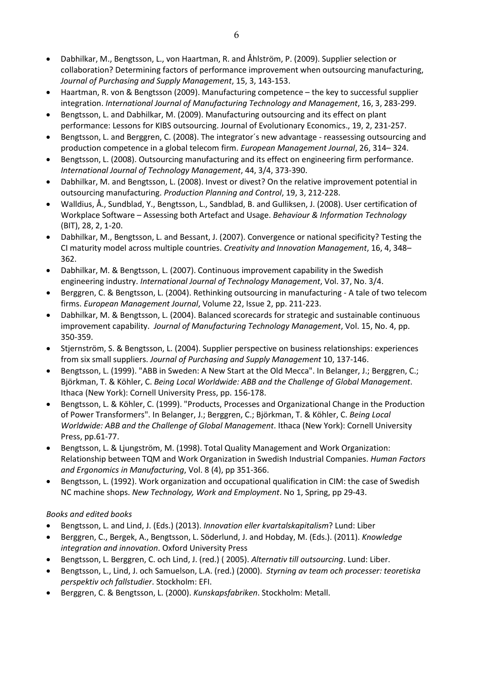- Dabhilkar, M., Bengtsson, L., von Haartman, R. and Åhlström, P. (2009). Supplier selection or collaboration? Determining factors of performance improvement when outsourcing manufacturing, *Journal of Purchasing and Supply Management*, 15, 3, 143-153.
- Haartman, R. von & Bengtsson (2009). Manufacturing competence the key to successful supplier integration. *International Journal of Manufacturing Technology and Management*, 16, 3, 283-299.
- Bengtsson, L. and Dabhilkar, M. (2009). Manufacturing outsourcing and its effect on plant performance: Lessons for KIBS outsourcing. Journal of Evolutionary Economics., 19, 2, 231-257.
- Bengtsson, L. and Berggren, C. (2008). The integrator´s new advantage reassessing outsourcing and production competence in a global telecom firm. *European Management Journal*, 26, 314– 324.
- Bengtsson, L. (2008). Outsourcing manufacturing and its effect on engineering firm performance. *International Journal of Technology Management*, 44, 3/4, 373-390.
- Dabhilkar, M. and Bengtsson, L. (2008). Invest or divest? On the relative improvement potential in outsourcing manufacturing. *Production Planning and Control*, 19, 3, 212-228.
- Walldius, Å., Sundblad, Y., Bengtsson, L., Sandblad, B. and Gulliksen, J. (2008). User certification of Workplace Software – Assessing both Artefact and Usage. *Behaviour & Information Technology* (BIT), 28, 2, 1-20.
- Dabhilkar, M., Bengtsson, L. and Bessant, J. (2007). Convergence or national specificity? Testing the CI maturity model across multiple countries. *Creativity and Innovation Management*, 16, 4, 348– 362.
- Dabhilkar, M. & Bengtsson, L. (2007). Continuous improvement capability in the Swedish engineering industry. *International Journal of Technology Management*, Vol. 37, No. 3/4.
- Berggren, C. & Bengtsson, L. (2004). Rethinking outsourcing in manufacturing A tale of two telecom firms. *European Management Journal*, Volume 22, Issue 2, pp. 211-223.
- Dabhilkar, M. & Bengtsson, L. (2004). Balanced scorecards for strategic and sustainable continuous improvement capability. *Journal of Manufacturing Technology Management*, Vol. 15, No. 4, pp. 350-359.
- Stjernström, S. & Bengtsson, L. (2004). Supplier perspective on business relationships: experiences from six small suppliers. *Journal of Purchasing and Supply Management* 10, 137-146.
- Bengtsson, L. (1999). "ABB in Sweden: A New Start at the Old Mecca". In Belanger, J.; Berggren, C.; Björkman, T. & Köhler, C. *Being Local Worldwide: ABB and the Challenge of Global Management*. Ithaca (New York): Cornell University Press, pp. 156-178.
- Bengtsson, L. & Köhler, C. (1999). "Products, Processes and Organizational Change in the Production of Power Transformers". In Belanger, J.; Berggren, C.; Björkman, T. & Köhler, C. *Being Local Worldwide: ABB and the Challenge of Global Management*. Ithaca (New York): Cornell University Press, pp.61-77.
- Bengtsson, L. & Ljungström, M. (1998). Total Quality Management and Work Organization: Relationship between TQM and Work Organization in Swedish Industrial Companies. *Human Factors and Ergonomics in Manufacturing*, Vol. 8 (4), pp 351-366.
- Bengtsson, L. (1992). Work organization and occupational qualification in CIM: the case of Swedish NC machine shops. *New Technology, Work and Employment*. No 1, Spring, pp 29-43.

# *Books and edited books*

- Bengtsson, L. and Lind, J. (Eds.) (2013). *Innovation eller kvartalskapitalism*? Lund: Liber
- Berggren, C., Bergek, A., Bengtsson, L. Söderlund, J. and Hobday, M. (Eds.). (2011). *Knowledge integration and innovation*. Oxford University Press
- Bengtsson, L. Berggren, C. och Lind, J. (red.) ( 2005). *Alternativ till outsourcing*. Lund: Liber.
- Bengtsson, L., Lind, J. och Samuelson, L.A. (red.) (2000). *Styrning av team och processer: teoretiska perspektiv och fallstudier*. Stockholm: EFI.
- Berggren, C. & Bengtsson, L. (2000). *Kunskapsfabriken*. Stockholm: Metall.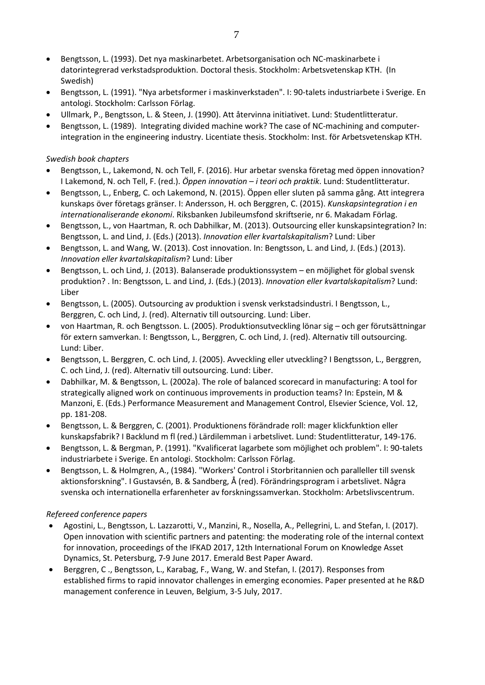- Bengtsson, L. (1993). Det nya maskinarbetet. Arbetsorganisation och NC-maskinarbete i datorintegrerad verkstadsproduktion. Doctoral thesis. Stockholm: Arbetsvetenskap KTH. (In Swedish)
- Bengtsson, L. (1991). "Nya arbetsformer i maskinverkstaden". I: 90-talets industriarbete i Sverige. En antologi. Stockholm: Carlsson Förlag.
- Ullmark, P., Bengtsson, L. & Steen, J. (1990). Att återvinna initiativet. Lund: Studentlitteratur.
- Bengtsson, L. (1989). Integrating divided machine work? The case of NC-machining and computerintegration in the engineering industry. Licentiate thesis. Stockholm: Inst. för Arbetsvetenskap KTH.

# *Swedish book chapters*

- Bengtsson, L., Lakemond, N. och Tell, F. (2016). Hur arbetar svenska företag med öppen innovation? I Lakemond, N. och Tell, F. (red.). *Öppen innovation – i teori och praktik*. Lund: Studentlitteratur.
- Bengtsson, L., Enberg, C. och Lakemond, N. (2015). Öppen eller sluten på samma gång. Att integrera kunskaps över företags gränser. I: Andersson, H. och Berggren, C. (2015). *Kunskapsintegration i en internationaliserande ekonomi*. Riksbanken Jubileumsfond skriftserie, nr 6. Makadam Förlag.
- Bengtsson, L., von Haartman, R. och Dabhilkar, M. (2013). Outsourcing eller kunskapsintegration? In: Bengtsson, L. and Lind, J. (Eds.) (2013). *Innovation eller kvartalskapitalism*? Lund: Liber
- Bengtsson, L. and Wang, W. (2013). Cost innovation. In: Bengtsson, L. and Lind, J. (Eds.) (2013). *Innovation eller kvartalskapitalism*? Lund: Liber
- Bengtsson, L. och Lind, J. (2013). Balanserade produktionssystem en möjlighet för global svensk produktion? . In: Bengtsson, L. and Lind, J. (Eds.) (2013). *Innovation eller kvartalskapitalism*? Lund: Liber
- Bengtsson, L. (2005). Outsourcing av produktion i svensk verkstadsindustri. I Bengtsson, L., Berggren, C. och Lind, J. (red). Alternativ till outsourcing. Lund: Liber.
- von Haartman, R. och Bengtsson. L. (2005). Produktionsutveckling lönar sig och ger förutsättningar för extern samverkan. I: Bengtsson, L., Berggren, C. och Lind, J. (red). Alternativ till outsourcing. Lund: Liber.
- Bengtsson, L. Berggren, C. och Lind, J. (2005). Avveckling eller utveckling? I Bengtsson, L., Berggren, C. och Lind, J. (red). Alternativ till outsourcing. Lund: Liber.
- Dabhilkar, M. & Bengtsson, L. (2002a). The role of balanced scorecard in manufacturing: A tool for strategically aligned work on continuous improvements in production teams? In: Epstein, M & Manzoni, E. (Eds.) Performance Measurement and Management Control, Elsevier Science, Vol. 12, pp. 181-208.
- Bengtsson, L. & Berggren, C. (2001). Produktionens förändrade roll: mager klickfunktion eller kunskapsfabrik? I Backlund m fl (red.) Lärdilemman i arbetslivet. Lund: Studentlitteratur, 149-176.
- Bengtsson, L. & Bergman, P. (1991). "Kvalificerat lagarbete som möjlighet och problem". I: 90-talets industriarbete i Sverige. En antologi. Stockholm: Carlsson Förlag.
- Bengtsson, L. & Holmgren, A., (1984). "Workers' Control i Storbritannien och paralleller till svensk aktionsforskning". I Gustavsén, B. & Sandberg, Å (red). Förändringsprogram i arbetslivet. Några svenska och internationella erfarenheter av forskningssamverkan. Stockholm: Arbetslivscentrum.

# *Refereed conference papers*

- Agostini, L., Bengtsson, L. Lazzarotti, V., Manzini, R., Nosella, A., Pellegrini, L. and Stefan, I. (2017). Open innovation with scientific partners and patenting: the moderating role of the internal context for innovation, proceedings of the IFKAD 2017, 12th International Forum on Knowledge Asset Dynamics, St. Petersburg, 7-9 June 2017. Emerald Best Paper Award.
- Berggren, C ., Bengtsson, L., Karabag, F., Wang, W. and Stefan, I. (2017). Responses from established firms to rapid innovator challenges in emerging economies. Paper presented at he R&D management conference in Leuven, Belgium, 3-5 July, 2017.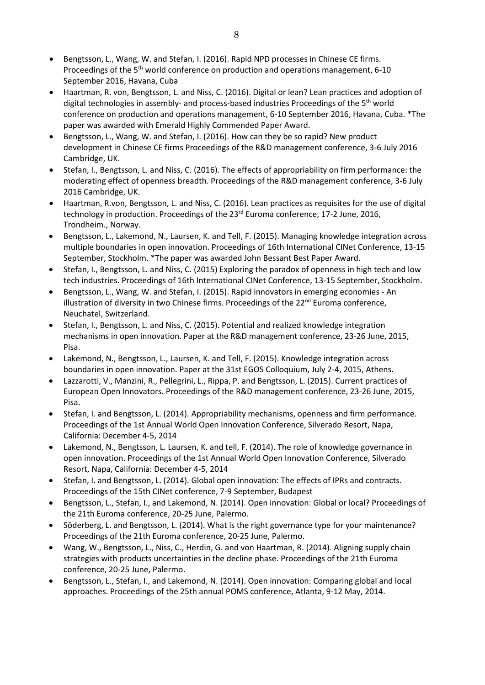- Bengtsson, L., Wang, W. and Stefan, I. (2016). Rapid NPD processes in Chinese CE firms. Proceedings of the 5<sup>th</sup> world conference on production and operations management, 6-10 September 2016, Havana, Cuba
- Haartman, R. von, Bengtsson, L. and Niss, C. (2016). Digital or lean? Lean practices and adoption of digital technologies in assembly- and process-based industries Proceedings of the 5<sup>th</sup> world conference on production and operations management, 6-10 September 2016, Havana, Cuba. \*The paper was awarded with Emerald Highly Commended Paper Award.
- Bengtsson, L., Wang, W. and Stefan, I. (2016). How can they be so rapid? New product development in Chinese CE firms Proceedings of the R&D management conference, 3-6 July 2016 Cambridge, UK.
- Stefan, I., Bengtsson, L. and Niss, C. (2016). The effects of appropriability on firm performance: the moderating effect of openness breadth. Proceedings of the R&D management conference, 3-6 July 2016 Cambridge, UK.
- Haartman, R.von, Bengtsson, L. and Niss, C. (2016). Lean practices as requisites for the use of digital technology in production. Proceedings of the 23<sup>rd</sup> Euroma conference, 17-2 June, 2016, Trondheim., Norway.
- Bengtsson, L., Lakemond, N., Laursen, K. and Tell, F. (2015). Managing knowledge integration across multiple boundaries in open innovation. Proceedings of 16th International CINet Conference, 13-15 September, Stockholm. \*The paper was awarded John Bessant Best Paper Award.
- Stefan, I., Bengtsson, L. and Niss, C. (2015) Exploring the paradox of openness in high tech and low tech industries. Proceedings of 16th International CINet Conference, 13-15 September, Stockholm.
- Bengtsson, L., Wang, W. and Stefan, I. (2015). Rapid innovators in emerging economies An illustration of diversity in two Chinese firms. Proceedings of the  $22<sup>nd</sup>$  Euroma conference, Neuchatel, Switzerland.
- Stefan, I., Bengtsson, L. and Niss, C. (2015). Potential and realized knowledge integration mechanisms in open innovation. Paper at the R&D management conference, 23-26 June, 2015, Pisa.
- Lakemond, N., Bengtsson, L., Laursen, K. and Tell, F. (2015). Knowledge integration across boundaries in open innovation. Paper at the 31st EGOS Colloquium, July 2-4, 2015, Athens.
- Lazzarotti, V., Manzini, R., Pellegrini, L., Rippa, P. and Bengtsson, L. (2015). Current practices of European Open Innovators. Proceedings of the R&D management conference, 23-26 June, 2015, Pisa.
- Stefan, I. and Bengtsson, L. (2014). Appropriability mechanisms, openness and firm performance. Proceedings of the 1st Annual World Open Innovation Conference, Silverado Resort, Napa, California: December 4-5, 2014
- Lakemond, N., Bengtsson, L. Laursen, K. and tell, F. (2014). The role of knowledge governance in open innovation. Proceedings of the 1st Annual World Open Innovation Conference, Silverado Resort, Napa, California: December 4-5, 2014
- Stefan, I. and Bengtsson, L. (2014). Global open innovation: The effects of IPRs and contracts. Proceedings of the 15th CINet conference, 7-9 September, Budapest
- Bengtsson, L., Stefan, I., and Lakemond, N. (2014). Open innovation: Global or local? Proceedings of the 21th Euroma conference, 20-25 June, Palermo.
- Söderberg, L. and Bengtsson, L. (2014). What is the right governance type for your maintenance? Proceedings of the 21th Euroma conference, 20-25 June, Palermo.
- Wang, W., Bengtsson, L., Niss, C., Herdin, G. and von Haartman, R. (2014). Aligning supply chain strategies with products uncertainties in the decline phase. Proceedings of the 21th Euroma conference, 20-25 June, Palermo.
- Bengtsson, L., Stefan, I., and Lakemond, N. (2014). Open innovation: Comparing global and local approaches. Proceedings of the 25th annual POMS conference, Atlanta, 9-12 May, 2014.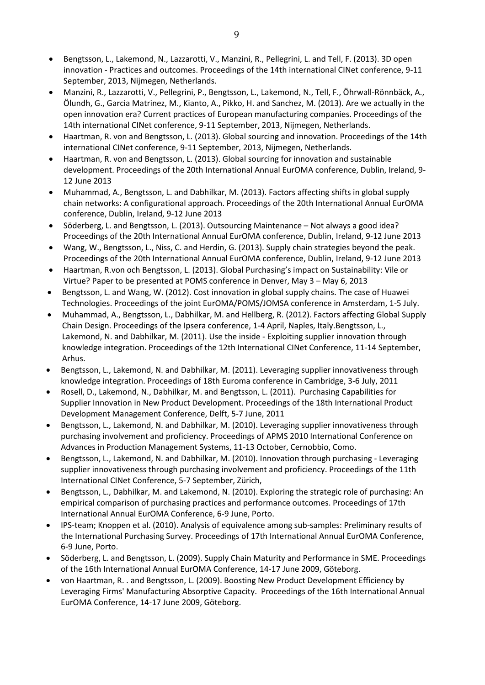- Bengtsson, L., Lakemond, N., Lazzarotti, V., Manzini, R., Pellegrini, L. and Tell, F. (2013). 3D open innovation - Practices and outcomes. Proceedings of the 14th international CINet conference, 9-11 September, 2013, Nijmegen, Netherlands.
- Manzini, R., Lazzarotti, V., Pellegrini, P., Bengtsson, L., Lakemond, N., Tell, F., Öhrwall-Rönnbäck, A., Ölundh, G., Garcia Matrinez, M., Kianto, A., Pikko, H. and Sanchez, M. (2013). Are we actually in the open innovation era? Current practices of European manufacturing companies. Proceedings of the 14th international CINet conference, 9-11 September, 2013, Nijmegen, Netherlands.
- Haartman, R. von and Bengtsson, L. (2013). Global sourcing and innovation. Proceedings of the 14th international CINet conference, 9-11 September, 2013, Nijmegen, Netherlands.
- Haartman, R. von and Bengtsson, L. (2013). Global sourcing for innovation and sustainable development. Proceedings of the 20th International Annual EurOMA conference, Dublin, Ireland, 9- 12 June 2013
- Muhammad, A., Bengtsson, L. and Dabhilkar, M. (2013). Factors affecting shifts in global supply chain networks: A configurational approach. Proceedings of the 20th International Annual EurOMA conference, Dublin, Ireland, 9-12 June 2013
- Söderberg, L. and Bengtsson, L. (2013). Outsourcing Maintenance Not always a good idea? Proceedings of the 20th International Annual EurOMA conference, Dublin, Ireland, 9-12 June 2013
- Wang, W., Bengtsson, L., Niss, C. and Herdin, G. (2013). Supply chain strategies beyond the peak. Proceedings of the 20th International Annual EurOMA conference, Dublin, Ireland, 9-12 June 2013
- Haartman, R.von och Bengtsson, L. (2013). Global Purchasing's impact on Sustainability: Vile or Virtue? Paper to be presented at POMS conference in Denver, May 3 – May 6, 2013
- Bengtsson, L. and Wang, W. (2012). Cost innovation in global supply chains. The case of Huawei Technologies. Proceedings of the joint EurOMA/POMS/JOMSA conference in Amsterdam, 1-5 July.
- Muhammad, A., Bengtsson, L., Dabhilkar, M. and Hellberg, R. (2012). Factors affecting Global Supply Chain Design. Proceedings of the Ipsera conference, 1-4 April, Naples, Italy.Bengtsson, L., Lakemond, N. and Dabhilkar, M. (2011). Use the inside - Exploiting supplier innovation through knowledge integration. Proceedings of the 12th International CINet Conference, 11-14 September, Arhus.
- Bengtsson, L., Lakemond, N. and Dabhilkar, M. (2011). Leveraging supplier innovativeness through knowledge integration. Proceedings of 18th Euroma conference in Cambridge, 3-6 July, 2011
- Rosell, D., Lakemond, N., Dabhilkar, M. and Bengtsson, L. (2011). Purchasing Capabilities for Supplier Innovation in New Product Development. Proceedings of the 18th International Product Development Management Conference, Delft, 5-7 June, 2011
- Bengtsson, L., Lakemond, N. and Dabhilkar, M. (2010). Leveraging supplier innovativeness through purchasing involvement and proficiency. Proceedings of APMS 2010 International Conference on Advances in Production Management Systems, 11-13 October, Cernobbio, Como.
- Bengtsson, L., Lakemond, N. and Dabhilkar, M. (2010). Innovation through purchasing Leveraging supplier innovativeness through purchasing involvement and proficiency. Proceedings of the 11th International CINet Conference, 5-7 September, Zürich,
- Bengtsson, L., Dabhilkar, M. and Lakemond, N. (2010). Exploring the strategic role of purchasing: An empirical comparison of purchasing practices and performance outcomes. Proceedings of 17th International Annual EurOMA Conference, 6-9 June, Porto.
- IPS-team; Knoppen et al. (2010). Analysis of equivalence among sub-samples: Preliminary results of the International Purchasing Survey. Proceedings of 17th International Annual EurOMA Conference, 6-9 June, Porto.
- Söderberg, L. and Bengtsson, L. (2009). Supply Chain Maturity and Performance in SME. Proceedings of the 16th International Annual EurOMA Conference, 14-17 June 2009, Göteborg.
- von Haartman, R. . and Bengtsson, L. (2009). Boosting New Product Development Efficiency by Leveraging Firms' Manufacturing Absorptive Capacity. Proceedings of the 16th International Annual EurOMA Conference, 14-17 June 2009, Göteborg.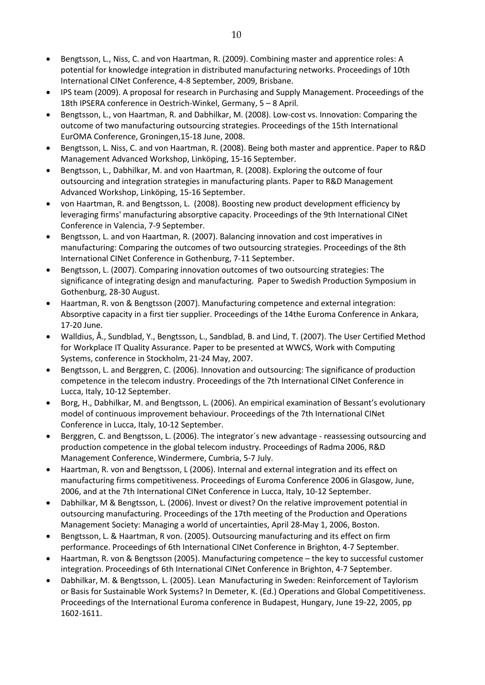- Bengtsson, L., Niss, C. and von Haartman, R. (2009). Combining master and apprentice roles: A potential for knowledge integration in distributed manufacturing networks. Proceedings of 10th International CINet Conference, 4-8 September, 2009, Brisbane.
- IPS team (2009). A proposal for research in Purchasing and Supply Management. Proceedings of the 18th IPSERA conference in Oestrich-Winkel, Germany, 5 – 8 April.
- Bengtsson, L., von Haartman, R. and Dabhilkar, M. (2008). Low-cost vs. Innovation: Comparing the outcome of two manufacturing outsourcing strategies. Proceedings of the 15th International EurOMA Conference, Groningen,15-18 June, 2008.
- Bengtsson, L. Niss, C. and von Haartman, R. (2008). Being both master and apprentice. Paper to R&D Management Advanced Workshop, Linköping, 15-16 September.
- Bengtsson, L., Dabhilkar, M. and von Haartman, R. (2008). Exploring the outcome of four outsourcing and integration strategies in manufacturing plants. Paper to R&D Management Advanced Workshop, Linköping, 15-16 September.
- von Haartman, R. and Bengtsson, L. (2008). Boosting new product development efficiency by leveraging firms' manufacturing absorptive capacity. Proceedings of the 9th International CINet Conference in Valencia, 7-9 September.
- Bengtsson, L. and von Haartman, R. (2007). Balancing innovation and cost imperatives in manufacturing: Comparing the outcomes of two outsourcing strategies. Proceedings of the 8th International CINet Conference in Gothenburg, 7-11 September.
- Bengtsson, L. (2007). Comparing innovation outcomes of two outsourcing strategies: The significance of integrating design and manufacturing. Paper to Swedish Production Symposium in Gothenburg, 28-30 August.
- Haartman, R. von & Bengtsson (2007). Manufacturing competence and external integration: Absorptive capacity in a first tier supplier. Proceedings of the 14the Euroma Conference in Ankara, 17-20 June.
- Walldius, Å., Sundblad, Y., Bengtsson, L., Sandblad, B. and Lind, T. (2007). The User Certified Method for Workplace IT Quality Assurance. Paper to be presented at WWCS, Work with Computing Systems, conference in Stockholm, 21-24 May, 2007.
- Bengtsson, L. and Berggren, C. (2006). Innovation and outsourcing: The significance of production competence in the telecom industry. Proceedings of the 7th International CINet Conference in Lucca, Italy, 10-12 September.
- Borg, H., Dabhilkar, M. and Bengtsson, L. (2006). An empirical examination of Bessant's evolutionary model of continuous improvement behaviour. Proceedings of the 7th International CINet Conference in Lucca, Italy, 10-12 September.
- Berggren, C. and Bengtsson, L. (2006). The integrator´s new advantage reassessing outsourcing and production competence in the global telecom industry. Proceedings of Radma 2006, R&D Management Conference, Windermere, Cumbria, 5-7 July.
- Haartman, R. von and Bengtsson, L (2006). Internal and external integration and its effect on manufacturing firms competitiveness. Proceedings of Euroma Conference 2006 in Glasgow, June, 2006, and at the 7th International CINet Conference in Lucca, Italy, 10-12 September.
- Dabhilkar, M & Bengtsson, L. (2006). Invest or divest? On the relative improvement potential in outsourcing manufacturing. Proceedings of the 17th meeting of the Production and Operations Management Society: Managing a world of uncertainties, April 28-May 1, 2006, Boston.
- Bengtsson, L. & Haartman, R von. (2005). Outsourcing manufacturing and its effect on firm performance. Proceedings of 6th International CINet Conference in Brighton, 4-7 September.
- Haartman, R. von & Bengtsson (2005). Manufacturing competence the key to successful customer integration. Proceedings of 6th International CINet Conference in Brighton, 4-7 September.
- Dabhilkar, M. & Bengtsson, L. (2005). Lean Manufacturing in Sweden: Reinforcement of Taylorism or Basis for Sustainable Work Systems? In Demeter, K. (Ed.) Operations and Global Competitiveness. Proceedings of the International Euroma conference in Budapest, Hungary, June 19-22, 2005, pp 1602-1611.